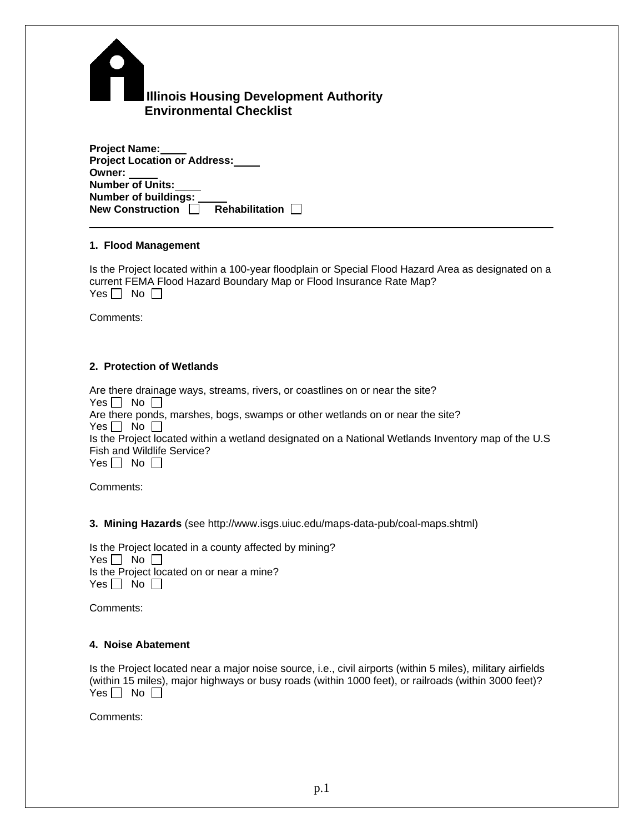| <b>Illinois Housing Development Authority</b><br><b>Environmental Checklist</b> |
|---------------------------------------------------------------------------------|

| <b>Project Name:</b>                      |  |
|-------------------------------------------|--|
| <b>Project Location or Address:</b>       |  |
| Owner:                                    |  |
| <b>Number of Units:</b>                   |  |
| <b>Number of buildings:</b>               |  |
| <b>New Construction</b><br>Rehabilitation |  |

### **1. Flood Management**

Is the Project located within a 100-year floodplain or Special Flood Hazard Area as designated on a current FEMA Flood Hazard Boundary Map or Flood Insurance Rate Map? Yes  $\Box$  No  $\Box$ 

Comments:

# **2. Protection of Wetlands**

Are there drainage ways, streams, rivers, or coastlines on or near the site? Yes  $\Box$  No  $\Box$ Are there ponds, marshes, bogs, swamps or other wetlands on or near the site? Yes  $\Box$  No  $\Box$ Is the Project located within a wetland designated on a National Wetlands Inventory map of the U.S Fish and Wildlife Service? Yes  $\Box$  No  $\Box$ 

Comments:

**3. Mining Hazards** (see http://www.isgs.uiuc.edu/maps-data-pub/coal-maps.shtml)

Is the Project located in a county affected by mining? Yes  $\Box$  No  $\Box$ Is the Project located on or near a mine?  $Yes \Box No \Box$ 

Comments:

### **4. Noise Abatement**

Is the Project located near a major noise source, i.e., civil airports (within 5 miles), military airfields (within 15 miles), major highways or busy roads (within 1000 feet), or railroads (within 3000 feet)? Yes  $\Box$  No  $\Box$ 

Comments: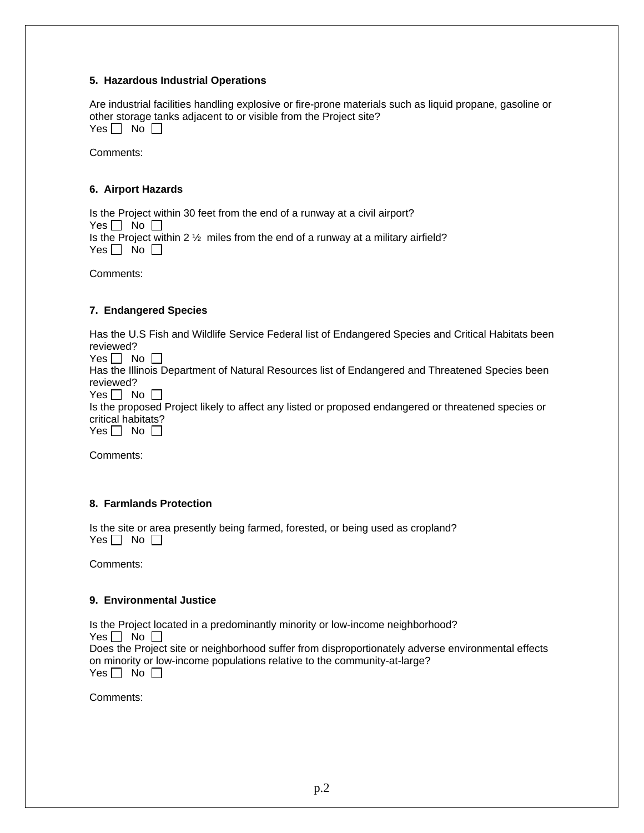## **5. Hazardous Industrial Operations**

Are industrial facilities handling explosive or fire-prone materials such as liquid propane, gasoline or other storage tanks adjacent to or visible from the Project site? Yes  $\Box$  No  $\Box$ 

Comments:

# **6. Airport Hazards**

Is the Project within 30 feet from the end of a runway at a civil airport? Yes  $\Box$  No  $\Box$ Is the Project within 2 ½ miles from the end of a runway at a military airfield? Yes  $\Box$  No  $\Box$ 

Comments:

## **7. Endangered Species**

Has the U.S Fish and Wildlife Service Federal list of Endangered Species and Critical Habitats been reviewed?

Yes  $\Box$  No  $\Box$ 

Has the Illinois Department of Natural Resources list of Endangered and Threatened Species been reviewed?

Yes  $\Box$  No  $\Box$ 

Is the proposed Project likely to affect any listed or proposed endangered or threatened species or critical habitats?

 $Yes \Box No \Box$ 

Comments:

## **8. Farmlands Protection**

Is the site or area presently being farmed, forested, or being used as cropland? Yes  $\Box$  No  $\Box$ 

Comments:

### **9. Environmental Justice**

Is the Project located in a predominantly minority or low-income neighborhood? Yes  $\Box$  No  $\Box$ Does the Project site or neighborhood suffer from disproportionately adverse environmental effects on minority or low-income populations relative to the community-at-large?  $Yes \Box No \Box$ 

Comments: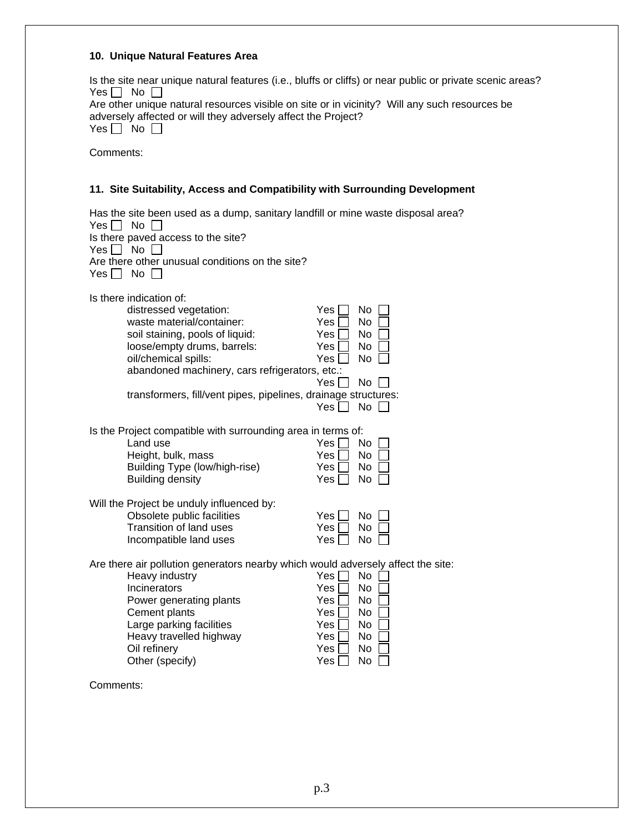## **10. Unique Natural Features Area**

Is the site near unique natural features (i.e., bluffs or cliffs) or near public or private scenic areas? Yes  $\Box$  No  $\Box$ 

Are other unique natural resources visible on site or in vicinity? Will any such resources be adversely affected or will they adversely affect the Project?

| -- |  | N٥<br>ר |  |
|----|--|---------|--|
|----|--|---------|--|

Comments:

## **11. Site Suitability, Access and Compatibility with Surrounding Development**

| Yes    <br>Yes I I<br>Yes | Has the site been used as a dump, sanitary landfill or mine waste disposal area?<br>No<br>Is there paved access to the site?<br>No<br>Are there other unusual conditions on the site?<br>No <sub>1</sub>                                                                                     |                                                      |                                                          |  |
|---------------------------|----------------------------------------------------------------------------------------------------------------------------------------------------------------------------------------------------------------------------------------------------------------------------------------------|------------------------------------------------------|----------------------------------------------------------|--|
|                           | Is there indication of:<br>distressed vegetation:<br>waste material/container:<br>soil staining, pools of liquid:<br>loose/empty drums, barrels:<br>oil/chemical spills:<br>abandoned machinery, cars refrigerators, etc.:<br>transformers, fill/vent pipes, pipelines, drainage structures: | Yes<br>Yes<br>Yes<br>Yes<br>Yes<br>Yes  <br>Yes      | No<br>No<br>No<br>No.<br>No<br><b>No</b><br>No           |  |
|                           | Is the Project compatible with surrounding area in terms of:<br>Land use<br>Height, bulk, mass<br>Building Type (low/high-rise)<br><b>Building density</b>                                                                                                                                   | Yes<br>Yes<br>Yes<br>Yes                             | No<br>No<br>No<br>No                                     |  |
|                           | Will the Project be unduly influenced by:<br>Obsolete public facilities<br><b>Transition of land uses</b><br>Incompatible land uses                                                                                                                                                          | Yes<br>Yes<br>Yes                                    | No.<br>No<br>No                                          |  |
|                           | Are there air pollution generators nearby which would adversely affect the site:<br>Heavy industry<br>Incinerators<br>Power generating plants<br>Cement plants<br>Large parking facilities<br>Heavy travelled highway<br>Oil refinery<br>Other (specify)                                     | Yes<br>Yes<br>Yes<br>Yes<br>Yes<br>Yes<br>Yes<br>Yes | No<br>No<br>N <sub>o</sub><br>No<br>No<br>No<br>No<br>No |  |

Comments: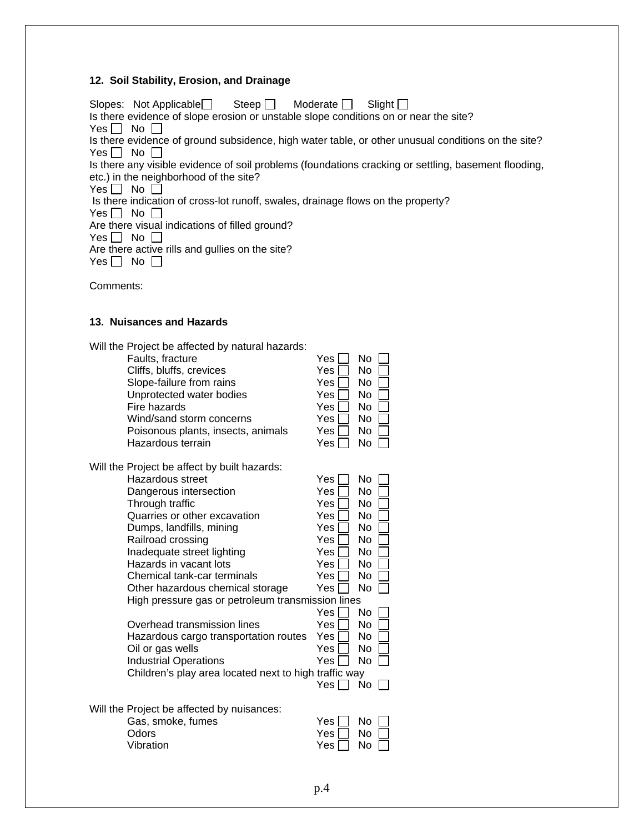#### **12. Soil Stability, Erosion, and Drainage**

Slopes: Not Applicable Steep  $\Box$  Moderate  $\Box$  Slight  $\Box$ Is there evidence of slope erosion or unstable slope conditions on or near the site? Yes  $\Box$  No  $\Box$ Is there evidence of ground subsidence, high water table, or other unusual conditions on the site? Yes  $\Box$  No  $\Box$ Is there any visible evidence of soil problems (foundations cracking or settling, basement flooding, etc.) in the neighborhood of the site? Yes  $\Box$  No  $\Box$  Is there indication of cross-lot runoff, swales, drainage flows on the property? Yes  $\Box$  No  $\Box$ Are there visual indications of filled ground? Yes  $\Box$  No  $\Box$ Are there active rills and gullies on the site? Yes  $\Box$  No  $\Box$ 

Comments:

#### **13. Nuisances and Hazards**

| Will the Project be affected by natural hazards:      |                        |
|-------------------------------------------------------|------------------------|
| Faults, fracture                                      | No<br>Yes              |
| Cliffs, bluffs, crevices                              | No<br>Yes              |
| Slope-failure from rains                              | No<br>Yes              |
| Unprotected water bodies                              | No<br>Yes              |
| Fire hazards                                          | Yes<br>No              |
| Wind/sand storm concerns                              | Yes<br>No              |
| Poisonous plants, insects, animals                    | No<br>Yes              |
| Hazardous terrain                                     | Yes<br>No              |
| Will the Project be affect by built hazards:          |                        |
| <b>Hazardous street</b>                               | No<br>Yes              |
| Dangerous intersection                                | N <sub>o</sub><br>Yes. |
| Through traffic                                       | Yes.<br>No.            |
| Quarries or other excavation                          | No<br>Yes.             |
| Dumps, landfills, mining                              | No<br>Yes              |
| Railroad crossing                                     | <b>No</b><br>Yes.      |
| Inadequate street lighting                            | No<br>Yes              |
| Hazards in vacant lots                                | No<br>Yes              |
| Chemical tank-car terminals                           | No<br>Yes              |
| Other hazardous chemical storage                      | <b>No</b><br>Yes       |
| High pressure gas or petroleum transmission lines     |                        |
|                                                       | N <sub>o</sub><br>Yes. |
| Overhead transmission lines                           | Yes<br>No              |
| Hazardous cargo transportation routes                 | No<br>Yes              |
| Oil or gas wells                                      | No<br>Yes              |
| <b>Industrial Operations</b>                          | <b>No</b><br>Yes       |
| Children's play area located next to high traffic way |                        |
|                                                       | No<br>Yes l            |
| Will the Project be affected by nuisances:            |                        |
| Gas, smoke, fumes                                     | Yes<br>No              |
| Odors                                                 | No<br>Yes              |
| Vibration                                             | No<br>Yes              |